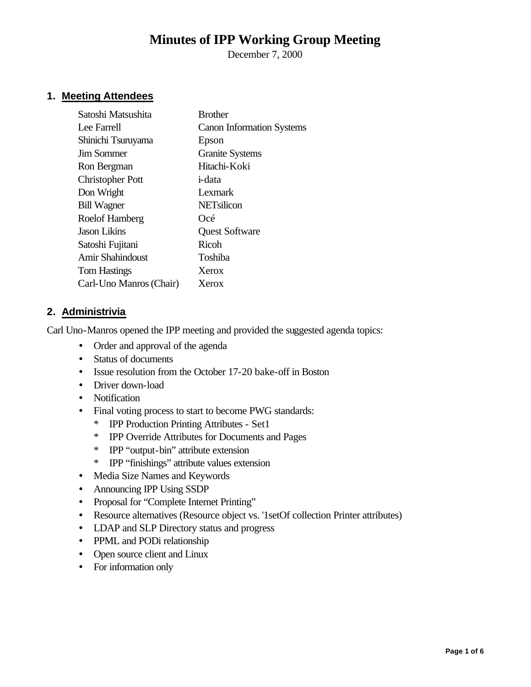# **Minutes of IPP Working Group Meeting**

December 7, 2000

# **1. Meeting Attendees**

| Satoshi Matsushita      | <b>Brother</b>                   |  |
|-------------------------|----------------------------------|--|
| Lee Farrell             | <b>Canon Information Systems</b> |  |
| Shinichi Tsuruyama      | Epson                            |  |
| <b>Jim Sommer</b>       | <b>Granite Systems</b>           |  |
| Ron Bergman             | Hitachi-Koki                     |  |
| <b>Christopher Pott</b> | <i>i</i> -data                   |  |
| Don Wright              | Lexmark                          |  |
| <b>Bill Wagner</b>      | <b>NETsilicon</b>                |  |
| Roelof Hamberg          | Océ                              |  |
| Jason Likins            | <b>Quest Software</b>            |  |
| Satoshi Fujitani        | Ricoh                            |  |
| Amir Shahindoust        | Toshiba                          |  |
| <b>Tom Hastings</b>     | Xerox                            |  |
| Carl-Uno Manros (Chair) | Xerox                            |  |
|                         |                                  |  |

### **2. Administrivia**

Carl Uno-Manros opened the IPP meeting and provided the suggested agenda topics:

- Order and approval of the agenda
- Status of documents
- Issue resolution from the October 17-20 bake-off in Boston
- Driver down-load
- Notification
- Final voting process to start to become PWG standards:
	- \* IPP Production Printing Attributes Set1
	- \* IPP Override Attributes for Documents and Pages
	- \* IPP "output-bin" attribute extension
	- \* IPP "finishings" attribute values extension
- Media Size Names and Keywords
- Announcing IPP Using SSDP
- Proposal for "Complete Internet Printing"
- Resource alternatives (Resource object vs. '1setOf collection Printer attributes)
- LDAP and SLP Directory status and progress
- PPML and PODi relationship
- Open source client and Linux
- For information only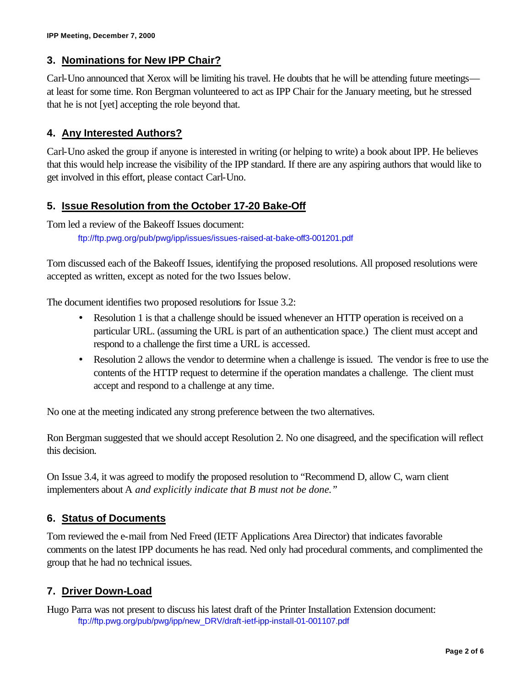# **3. Nominations for New IPP Chair?**

Carl-Uno announced that Xerox will be limiting his travel. He doubts that he will be attending future meetings at least for some time. Ron Bergman volunteered to act as IPP Chair for the January meeting, but he stressed that he is not [yet] accepting the role beyond that.

## **4. Any Interested Authors?**

Carl-Uno asked the group if anyone is interested in writing (or helping to write) a book about IPP. He believes that this would help increase the visibility of the IPP standard. If there are any aspiring authors that would like to get involved in this effort, please contact Carl-Uno.

## **5. Issue Resolution from the October 17-20 Bake-Off**

Tom led a review of the Bakeoff Issues document: ftp://ftp.pwg.org/pub/pwg/ipp/issues/issues-raised-at-bake-off3-001201.pdf

Tom discussed each of the Bakeoff Issues, identifying the proposed resolutions. All proposed resolutions were accepted as written, except as noted for the two Issues below.

The document identifies two proposed resolutions for Issue 3.2:

- Resolution 1 is that a challenge should be issued whenever an HTTP operation is received on a particular URL. (assuming the URL is part of an authentication space.) The client must accept and respond to a challenge the first time a URL is accessed.
- Resolution 2 allows the vendor to determine when a challenge is issued. The vendor is free to use the contents of the HTTP request to determine if the operation mandates a challenge. The client must accept and respond to a challenge at any time.

No one at the meeting indicated any strong preference between the two alternatives.

Ron Bergman suggested that we should accept Resolution 2. No one disagreed, and the specification will reflect this decision.

On Issue 3.4, it was agreed to modify the proposed resolution to "Recommend D, allow C, warn client implementers about A *and explicitly indicate that B must not be done."*

# **6. Status of Documents**

Tom reviewed the e-mail from Ned Freed (IETF Applications Area Director) that indicates favorable comments on the latest IPP documents he has read. Ned only had procedural comments, and complimented the group that he had no technical issues.

## **7. Driver Down-Load**

Hugo Parra was not present to discuss his latest draft of the Printer Installation Extension document: ftp://ftp.pwg.org/pub/pwg/ipp/new\_DRV/draft-ietf-ipp-install-01-001107.pdf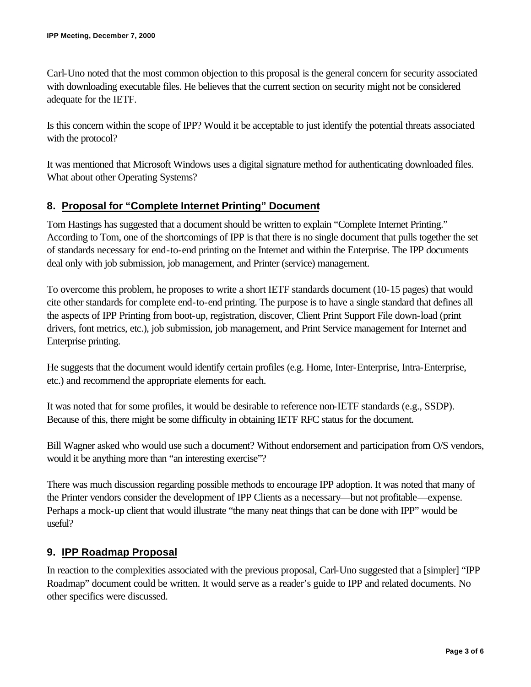Carl-Uno noted that the most common objection to this proposal is the general concern for security associated with downloading executable files. He believes that the current section on security might not be considered adequate for the IETF.

Is this concern within the scope of IPP? Would it be acceptable to just identify the potential threats associated with the protocol?

It was mentioned that Microsoft Windows uses a digital signature method for authenticating downloaded files. What about other Operating Systems?

## **8. Proposal for "Complete Internet Printing" Document**

Tom Hastings has suggested that a document should be written to explain "Complete Internet Printing." According to Tom, one of the shortcomings of IPP is that there is no single document that pulls together the set of standards necessary for end-to-end printing on the Internet and within the Enterprise. The IPP documents deal only with job submission, job management, and Printer (service) management.

To overcome this problem, he proposes to write a short IETF standards document (10-15 pages) that would cite other standards for complete end-to-end printing. The purpose is to have a single standard that defines all the aspects of IPP Printing from boot-up, registration, discover, Client Print Support File down-load (print drivers, font metrics, etc.), job submission, job management, and Print Service management for Internet and Enterprise printing.

He suggests that the document would identify certain profiles (e.g. Home, Inter-Enterprise, Intra-Enterprise, etc.) and recommend the appropriate elements for each.

It was noted that for some profiles, it would be desirable to reference non-IETF standards (e.g., SSDP). Because of this, there might be some difficulty in obtaining IETF RFC status for the document.

Bill Wagner asked who would use such a document? Without endorsement and participation from O/S vendors, would it be anything more than "an interesting exercise"?

There was much discussion regarding possible methods to encourage IPP adoption. It was noted that many of the Printer vendors consider the development of IPP Clients as a necessary—but not profitable—expense. Perhaps a mock-up client that would illustrate "the many neat things that can be done with IPP" would be useful?

## **9. IPP Roadmap Proposal**

In reaction to the complexities associated with the previous proposal, Carl-Uno suggested that a [simpler] "IPP Roadmap" document could be written. It would serve as a reader's guide to IPP and related documents. No other specifics were discussed.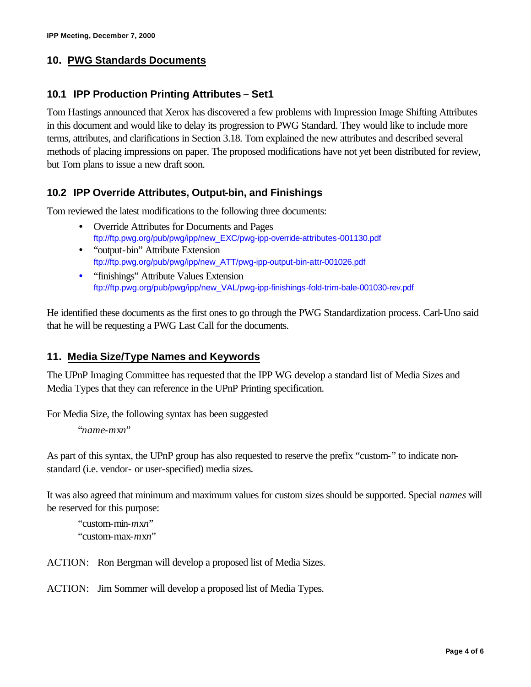## **10. PWG Standards Documents**

### **10.1 IPP Production Printing Attributes – Set1**

Tom Hastings announced that Xerox has discovered a few problems with Impression Image Shifting Attributes in this document and would like to delay its progression to PWG Standard. They would like to include more terms, attributes, and clarifications in Section 3.18. Tom explained the new attributes and described several methods of placing impressions on paper. The proposed modifications have not yet been distributed for review, but Tom plans to issue a new draft soon.

### **10.2 IPP Override Attributes, Output-bin, and Finishings**

Tom reviewed the latest modifications to the following three documents:

- Override Attributes for Documents and Pages ftp://ftp.pwg.org/pub/pwg/ipp/new\_EXC/pwg-ipp-override-attributes-001130.pdf
- "output-bin" Attribute Extension ftp://ftp.pwg.org/pub/pwg/ipp/new\_ATT/pwg-ipp-output-bin-attr-001026.pdf
- "finishings" Attribute Values Extension ftp://ftp.pwg.org/pub/pwg/ipp/new\_VAL/pwg-ipp-finishings-fold-trim-bale-001030-rev.pdf

He identified these documents as the first ones to go through the PWG Standardization process. Carl-Uno said that he will be requesting a PWG Last Call for the documents.

### **11. Media Size/Type Names and Keywords**

The UPnP Imaging Committee has requested that the IPP WG develop a standard list of Media Sizes and Media Types that they can reference in the UPnP Printing specification.

For Media Size, the following syntax has been suggested

"*name*-*m*x*n*"

As part of this syntax, the UPnP group has also requested to reserve the prefix "custom-" to indicate nonstandard (i.e. vendor- or user-specified) media sizes.

It was also agreed that minimum and maximum values for custom sizes should be supported. Special *names* will be reserved for this purpose:

"custom-min-*m*x*n*" "custom-max-*m*x*n*"

ACTION: Ron Bergman will develop a proposed list of Media Sizes.

ACTION: Jim Sommer will develop a proposed list of Media Types.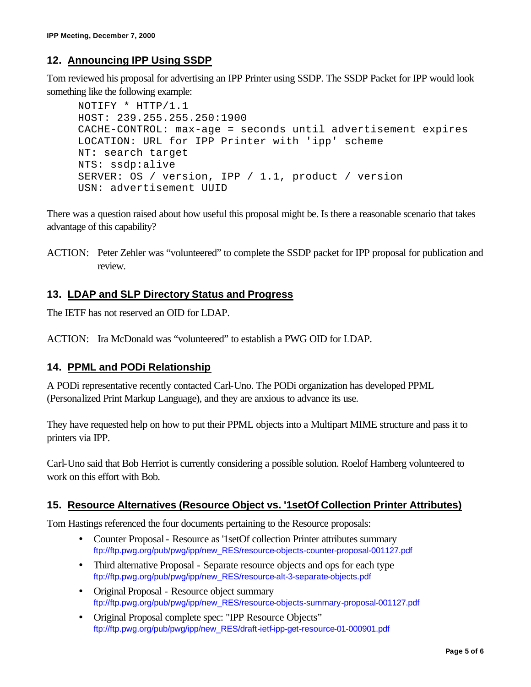# **12. Announcing IPP Using SSDP**

Tom reviewed his proposal for advertising an IPP Printer using SSDP. The SSDP Packet for IPP would look something like the following example:

```
NOTIFY * HTTP/1.1
HOST: 239.255.255.250:1900
CACHE-CONTROL: max-age = seconds until advertisement expires
LOCATION: URL for IPP Printer with 'ipp' scheme
NT: search target
NTS: ssdp:alive
SERVER: OS / version, IPP / 1.1, product / version
USN: advertisement UUID
```
There was a question raised about how useful this proposal might be. Is there a reasonable scenario that takes advantage of this capability?

ACTION: Peter Zehler was "volunteered" to complete the SSDP packet for IPP proposal for publication and review.

### **13. LDAP and SLP Directory Status and Progress**

The IETF has not reserved an OID for LDAP.

ACTION: Ira McDonald was "volunteered" to establish a PWG OID for LDAP.

#### **14. PPML and PODi Relationship**

A PODi representative recently contacted Carl-Uno. The PODi organization has developed PPML (Personalized Print Markup Language), and they are anxious to advance its use.

They have requested help on how to put their PPML objects into a Multipart MIME structure and pass it to printers via IPP.

Carl-Uno said that Bob Herriot is currently considering a possible solution. Roelof Hamberg volunteered to work on this effort with Bob.

#### **15. Resource Alternatives (Resource Object vs. '1setOf Collection Printer Attributes)**

Tom Hastings referenced the four documents pertaining to the Resource proposals:

- Counter Proposal Resource as '1setOf collection Printer attributes summary ftp://ftp.pwg.org/pub/pwg/ipp/new\_RES/resource-objects-counter-proposal-001127.pdf
- Third alternative Proposal Separate resource objects and ops for each type ftp://ftp.pwg.org/pub/pwg/ipp/new\_RES/resource-alt-3-separate-objects.pdf
- Original Proposal Resource object summary ftp://ftp.pwg.org/pub/pwg/ipp/new\_RES/resource-objects-summary-proposal-001127.pdf
- Original Proposal complete spec: "IPP Resource Objects" ftp://ftp.pwg.org/pub/pwg/ipp/new\_RES/draft-ietf-ipp-get-resource-01-000901.pdf